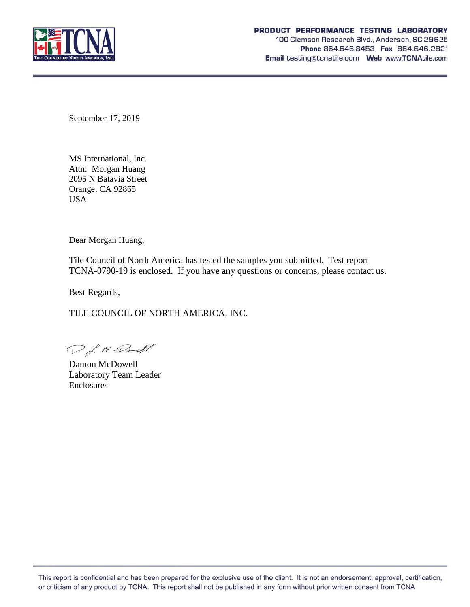

September 17, 2019

MS International, Inc. Attn: Morgan Huang 2095 N Batavia Street Orange, CA 92865 USA

Dear Morgan Huang,

Tile Council of North America has tested the samples you submitted. Test report TCNA-0790-19 is enclosed. If you have any questions or concerns, please contact us.

Best Regards,

TILE COUNCIL OF NORTH AMERICA, INC.

D. J. N. Danell

Damon McDowell Laboratory Team Leader Enclosures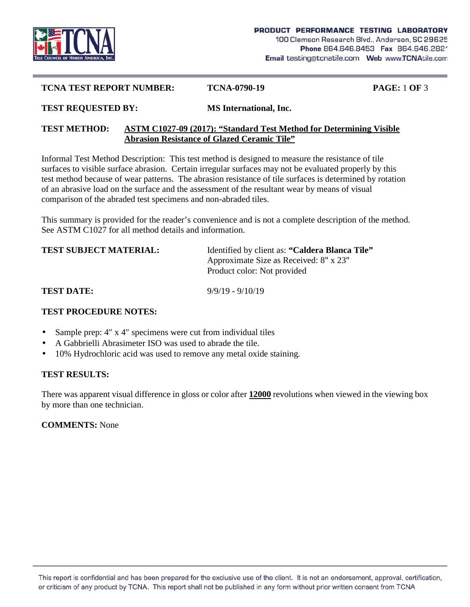

#### **TCNA TEST REPORT NUMBER: TCNA-0790-19 PAGE:** 1 **OF** 3

**TEST REQUESTED BY: MS International, Inc.**

### **TEST METHOD: ASTM C1027-09 (2017): "Standard Test Method for Determining Visible Abrasion Resistance of Glazed Ceramic Tile"**

Informal Test Method Description: This test method is designed to measure the resistance of tile surfaces to visible surface abrasion. Certain irregular surfaces may not be evaluated properly by this test method because of wear patterns. The abrasion resistance of tile surfaces is determined by rotation of an abrasive load on the surface and the assessment of the resultant wear by means of visual comparison of the abraded test specimens and non-abraded tiles.

This summary is provided for the reader's convenience and is not a complete description of the method. See ASTM C1027 for all method details and information.

| <b>TEST SUBJECT MATERIAL:</b> | Identified by client as: "Caldera Blanca Tile"<br>Approximate Size as Received: 8" x 23"<br>Product color: Not provided |
|-------------------------------|-------------------------------------------------------------------------------------------------------------------------|
| <b>TEST DATE:</b>             | $9/9/19 - 9/10/19$                                                                                                      |

# **TEST PROCEDURE NOTES:**

- Sample prep: 4 x 4 specimens were cut from individual tiles
- A Gabbrielli Abrasimeter ISO was used to abrade the tile.
- 10% Hydrochloric acid was used to remove any metal oxide staining.

### **TEST RESULTS:**

There was apparent visual difference in gloss or color after **12000** revolutions when viewed in the viewing box by more than one technician.

### **COMMENTS:** None

This report is confidential and has been prepared for the exclusive use of the client. It is not an endorsement, approval, certification, or criticism of any product by TCNA. This report shall not be published in any form without prior written consent from TCNA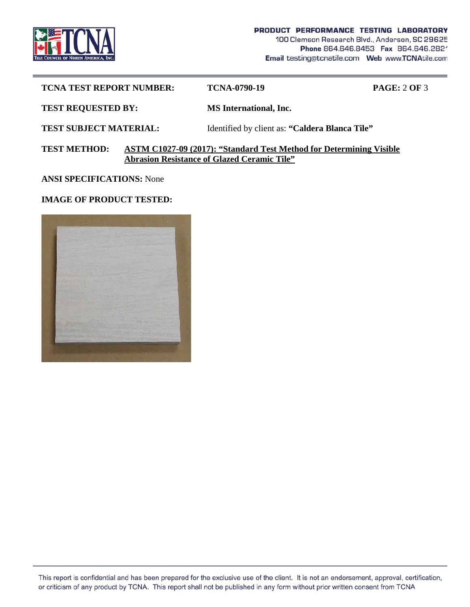

| <b>TCNA TEST REPORT NUMBER:</b>                                                                                                                  | <b>TCNA-0790-19</b>                            | <b>PAGE: 2 OF 3</b> |  |
|--------------------------------------------------------------------------------------------------------------------------------------------------|------------------------------------------------|---------------------|--|
| <b>TEST REQUESTED BY:</b>                                                                                                                        | <b>MS</b> International, Inc.                  |                     |  |
| <b>TEST SUBJECT MATERIAL:</b>                                                                                                                    | Identified by client as: "Caldera Blanca Tile" |                     |  |
| <b>TEST METHOD:</b><br>ASTM C1027-09 (2017): "Standard Test Method for Determining Visible<br><b>Abrasion Resistance of Glazed Ceramic Tile"</b> |                                                |                     |  |

**ANSI SPECIFICATIONS:** None

# **IMAGE OF PRODUCT TESTED:**



This report is confidential and has been prepared for the exclusive use of the client. It is not an endorsement, approval, certification, or criticism of any product by TCNA. This report shall not be published in any form without prior written consent from TCNA